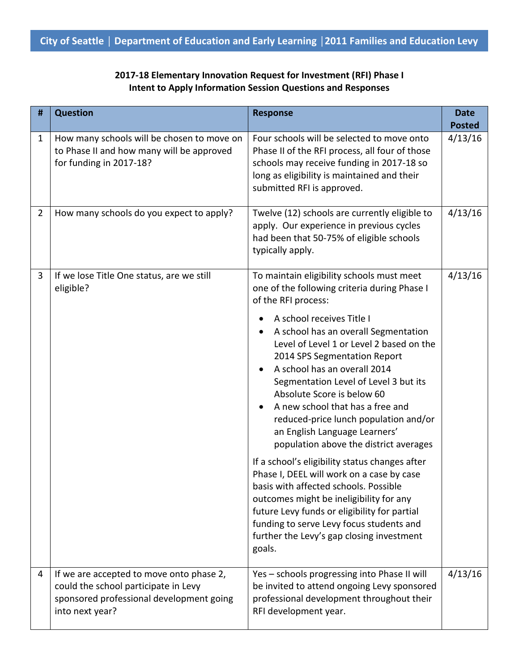| 2017-18 Elementary Innovation Request for Investment (RFI) Phase I |
|--------------------------------------------------------------------|
| Intent to Apply Information Session Questions and Responses        |

| #              | <b>Question</b>                                                                                                                                 | <b>Response</b>                                                                                                                                                                                                                                                                                                                                                                                                                                                                                                                                                                                                                                                                                                                                                                                                                                                                     | <b>Date</b><br><b>Posted</b> |
|----------------|-------------------------------------------------------------------------------------------------------------------------------------------------|-------------------------------------------------------------------------------------------------------------------------------------------------------------------------------------------------------------------------------------------------------------------------------------------------------------------------------------------------------------------------------------------------------------------------------------------------------------------------------------------------------------------------------------------------------------------------------------------------------------------------------------------------------------------------------------------------------------------------------------------------------------------------------------------------------------------------------------------------------------------------------------|------------------------------|
| 1              | How many schools will be chosen to move on<br>to Phase II and how many will be approved<br>for funding in 2017-18?                              | Four schools will be selected to move onto<br>Phase II of the RFI process, all four of those<br>schools may receive funding in 2017-18 so<br>long as eligibility is maintained and their<br>submitted RFI is approved.                                                                                                                                                                                                                                                                                                                                                                                                                                                                                                                                                                                                                                                              | 4/13/16                      |
| $\overline{2}$ | How many schools do you expect to apply?                                                                                                        | Twelve (12) schools are currently eligible to<br>apply. Our experience in previous cycles<br>had been that 50-75% of eligible schools<br>typically apply.                                                                                                                                                                                                                                                                                                                                                                                                                                                                                                                                                                                                                                                                                                                           | 4/13/16                      |
| 3              | If we lose Title One status, are we still<br>eligible?                                                                                          | To maintain eligibility schools must meet<br>one of the following criteria during Phase I<br>of the RFI process:<br>A school receives Title I<br>A school has an overall Segmentation<br>Level of Level 1 or Level 2 based on the<br>2014 SPS Segmentation Report<br>A school has an overall 2014<br>Segmentation Level of Level 3 but its<br>Absolute Score is below 60<br>A new school that has a free and<br>$\bullet$<br>reduced-price lunch population and/or<br>an English Language Learners'<br>population above the district averages<br>If a school's eligibility status changes after<br>Phase I, DEEL will work on a case by case<br>basis with affected schools. Possible<br>outcomes might be ineligibility for any<br>future Levy funds or eligibility for partial<br>funding to serve Levy focus students and<br>further the Levy's gap closing investment<br>goals. | 4/13/16                      |
| 4              | If we are accepted to move onto phase 2,<br>could the school participate in Levy<br>sponsored professional development going<br>into next year? | Yes - schools progressing into Phase II will<br>be invited to attend ongoing Levy sponsored<br>professional development throughout their<br>RFI development year.                                                                                                                                                                                                                                                                                                                                                                                                                                                                                                                                                                                                                                                                                                                   | 4/13/16                      |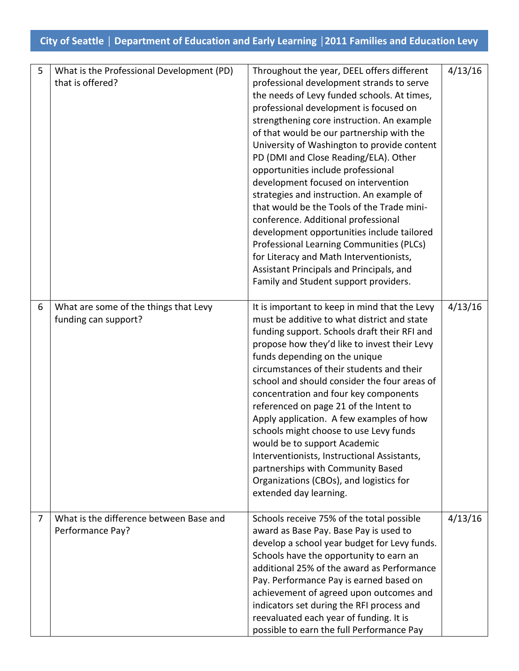| 5 | What is the Professional Development (PD)<br>that is offered? | Throughout the year, DEEL offers different<br>professional development strands to serve<br>the needs of Levy funded schools. At times,<br>professional development is focused on<br>strengthening core instruction. An example<br>of that would be our partnership with the<br>University of Washington to provide content<br>PD (DMI and Close Reading/ELA). Other<br>opportunities include professional<br>development focused on intervention<br>strategies and instruction. An example of<br>that would be the Tools of the Trade mini-<br>conference. Additional professional<br>development opportunities include tailored<br>Professional Learning Communities (PLCs)<br>for Literacy and Math Interventionists,<br>Assistant Principals and Principals, and<br>Family and Student support providers. | 4/13/16 |
|---|---------------------------------------------------------------|--------------------------------------------------------------------------------------------------------------------------------------------------------------------------------------------------------------------------------------------------------------------------------------------------------------------------------------------------------------------------------------------------------------------------------------------------------------------------------------------------------------------------------------------------------------------------------------------------------------------------------------------------------------------------------------------------------------------------------------------------------------------------------------------------------------|---------|
| 6 | What are some of the things that Levy<br>funding can support? | It is important to keep in mind that the Levy<br>must be additive to what district and state<br>funding support. Schools draft their RFI and<br>propose how they'd like to invest their Levy<br>funds depending on the unique<br>circumstances of their students and their<br>school and should consider the four areas of<br>concentration and four key components<br>referenced on page 21 of the Intent to<br>Apply application. A few examples of how<br>schools might choose to use Levy funds<br>would be to support Academic<br>Interventionists, Instructional Assistants,<br>partnerships with Community Based<br>Organizations (CBOs), and logistics for<br>extended day learning.                                                                                                                 | 4/13/16 |
| 7 | What is the difference between Base and<br>Performance Pay?   | Schools receive 75% of the total possible<br>award as Base Pay. Base Pay is used to<br>develop a school year budget for Levy funds.<br>Schools have the opportunity to earn an<br>additional 25% of the award as Performance<br>Pay. Performance Pay is earned based on<br>achievement of agreed upon outcomes and<br>indicators set during the RFI process and<br>reevaluated each year of funding. It is<br>possible to earn the full Performance Pay                                                                                                                                                                                                                                                                                                                                                      | 4/13/16 |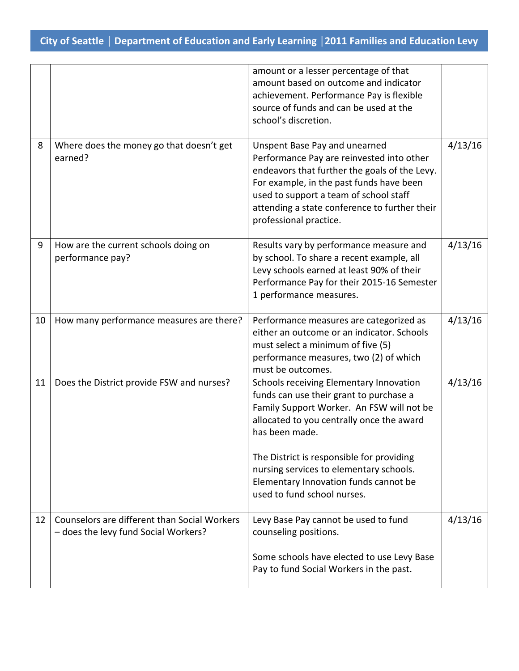|    |                                                                                      | amount or a lesser percentage of that<br>amount based on outcome and indicator<br>achievement. Performance Pay is flexible<br>source of funds and can be used at the<br>school's discretion.                                                                                                                                                                   |         |
|----|--------------------------------------------------------------------------------------|----------------------------------------------------------------------------------------------------------------------------------------------------------------------------------------------------------------------------------------------------------------------------------------------------------------------------------------------------------------|---------|
| 8  | Where does the money go that doesn't get<br>earned?                                  | Unspent Base Pay and unearned<br>Performance Pay are reinvested into other<br>endeavors that further the goals of the Levy.<br>For example, in the past funds have been<br>used to support a team of school staff<br>attending a state conference to further their<br>professional practice.                                                                   | 4/13/16 |
| 9  | How are the current schools doing on<br>performance pay?                             | Results vary by performance measure and<br>by school. To share a recent example, all<br>Levy schools earned at least 90% of their<br>Performance Pay for their 2015-16 Semester<br>1 performance measures.                                                                                                                                                     | 4/13/16 |
| 10 | How many performance measures are there?                                             | Performance measures are categorized as<br>either an outcome or an indicator. Schools<br>must select a minimum of five (5)<br>performance measures, two (2) of which<br>must be outcomes.                                                                                                                                                                      | 4/13/16 |
| 11 | Does the District provide FSW and nurses?                                            | Schools receiving Elementary Innovation<br>funds can use their grant to purchase a<br>Family Support Worker. An FSW will not be<br>allocated to you centrally once the award<br>has been made.<br>The District is responsible for providing<br>nursing services to elementary schools.<br>Elementary Innovation funds cannot be<br>used to fund school nurses. | 4/13/16 |
| 12 | Counselors are different than Social Workers<br>- does the levy fund Social Workers? | Levy Base Pay cannot be used to fund<br>counseling positions.<br>Some schools have elected to use Levy Base<br>Pay to fund Social Workers in the past.                                                                                                                                                                                                         | 4/13/16 |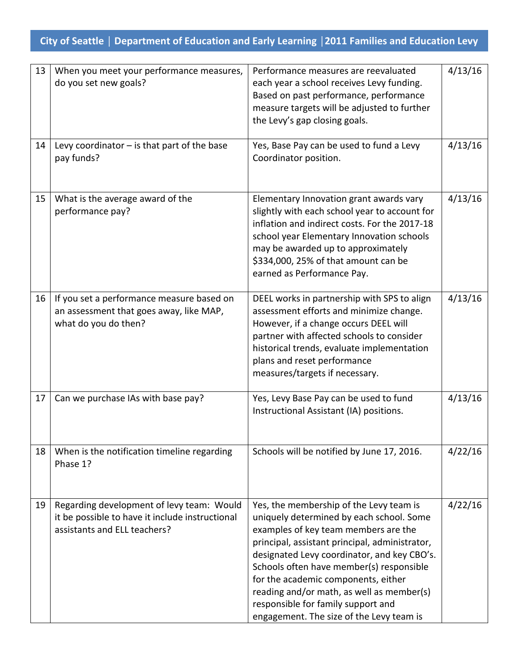| 13 | When you meet your performance measures,<br>do you set new goals?                                                            | Performance measures are reevaluated<br>each year a school receives Levy funding.<br>Based on past performance, performance<br>measure targets will be adjusted to further<br>the Levy's gap closing goals.                                                                                                                                                                                                                                    | 4/13/16 |
|----|------------------------------------------------------------------------------------------------------------------------------|------------------------------------------------------------------------------------------------------------------------------------------------------------------------------------------------------------------------------------------------------------------------------------------------------------------------------------------------------------------------------------------------------------------------------------------------|---------|
| 14 | Levy coordinator $-$ is that part of the base<br>pay funds?                                                                  | Yes, Base Pay can be used to fund a Levy<br>Coordinator position.                                                                                                                                                                                                                                                                                                                                                                              | 4/13/16 |
| 15 | What is the average award of the<br>performance pay?                                                                         | Elementary Innovation grant awards vary<br>slightly with each school year to account for<br>inflation and indirect costs. For the 2017-18<br>school year Elementary Innovation schools<br>may be awarded up to approximately<br>\$334,000, 25% of that amount can be<br>earned as Performance Pay.                                                                                                                                             | 4/13/16 |
| 16 | If you set a performance measure based on<br>an assessment that goes away, like MAP,<br>what do you do then?                 | DEEL works in partnership with SPS to align<br>assessment efforts and minimize change.<br>However, if a change occurs DEEL will<br>partner with affected schools to consider<br>historical trends, evaluate implementation<br>plans and reset performance<br>measures/targets if necessary.                                                                                                                                                    | 4/13/16 |
| 17 | Can we purchase IAs with base pay?                                                                                           | Yes, Levy Base Pay can be used to fund<br>Instructional Assistant (IA) positions.                                                                                                                                                                                                                                                                                                                                                              | 4/13/16 |
| 18 | When is the notification timeline regarding<br>Phase 1?                                                                      | Schools will be notified by June 17, 2016.                                                                                                                                                                                                                                                                                                                                                                                                     | 4/22/16 |
| 19 | Regarding development of levy team: Would<br>it be possible to have it include instructional<br>assistants and ELL teachers? | Yes, the membership of the Levy team is<br>uniquely determined by each school. Some<br>examples of key team members are the<br>principal, assistant principal, administrator,<br>designated Levy coordinator, and key CBO's.<br>Schools often have member(s) responsible<br>for the academic components, either<br>reading and/or math, as well as member(s)<br>responsible for family support and<br>engagement. The size of the Levy team is | 4/22/16 |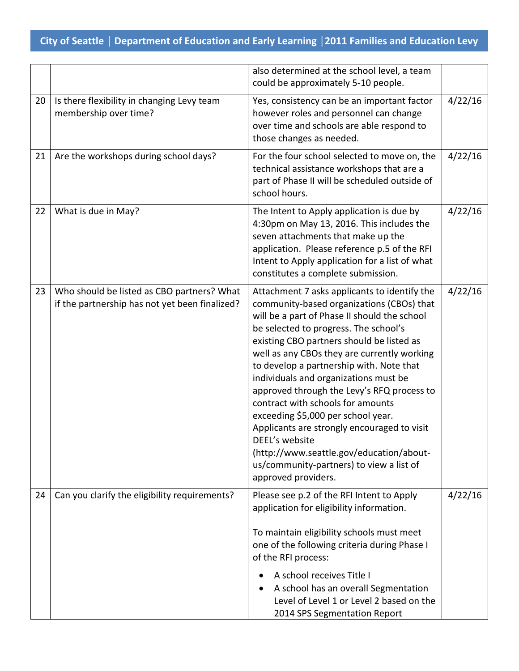|    |                                                                                              | also determined at the school level, a team<br>could be approximately 5-10 people.                                                                                                                                                                                                                                                                                                                                                                                                                                                                                                                                                                                           |         |
|----|----------------------------------------------------------------------------------------------|------------------------------------------------------------------------------------------------------------------------------------------------------------------------------------------------------------------------------------------------------------------------------------------------------------------------------------------------------------------------------------------------------------------------------------------------------------------------------------------------------------------------------------------------------------------------------------------------------------------------------------------------------------------------------|---------|
| 20 | Is there flexibility in changing Levy team<br>membership over time?                          | Yes, consistency can be an important factor<br>however roles and personnel can change<br>over time and schools are able respond to<br>those changes as needed.                                                                                                                                                                                                                                                                                                                                                                                                                                                                                                               | 4/22/16 |
| 21 | Are the workshops during school days?                                                        | For the four school selected to move on, the<br>technical assistance workshops that are a<br>part of Phase II will be scheduled outside of<br>school hours.                                                                                                                                                                                                                                                                                                                                                                                                                                                                                                                  | 4/22/16 |
| 22 | What is due in May?                                                                          | The Intent to Apply application is due by<br>4:30pm on May 13, 2016. This includes the<br>seven attachments that make up the<br>application. Please reference p.5 of the RFI<br>Intent to Apply application for a list of what<br>constitutes a complete submission.                                                                                                                                                                                                                                                                                                                                                                                                         | 4/22/16 |
| 23 | Who should be listed as CBO partners? What<br>if the partnership has not yet been finalized? | Attachment 7 asks applicants to identify the<br>community-based organizations (CBOs) that<br>will be a part of Phase II should the school<br>be selected to progress. The school's<br>existing CBO partners should be listed as<br>well as any CBOs they are currently working<br>to develop a partnership with. Note that<br>individuals and organizations must be<br>approved through the Levy's RFQ process to<br>contract with schools for amounts<br>exceeding \$5,000 per school year.<br>Applicants are strongly encouraged to visit<br>DEEL's website<br>(http://www.seattle.gov/education/about-<br>us/community-partners) to view a list of<br>approved providers. | 4/22/16 |
| 24 | Can you clarify the eligibility requirements?                                                | Please see p.2 of the RFI Intent to Apply<br>application for eligibility information.<br>To maintain eligibility schools must meet<br>one of the following criteria during Phase I<br>of the RFI process:<br>A school receives Title I<br>A school has an overall Segmentation<br>Level of Level 1 or Level 2 based on the<br>2014 SPS Segmentation Report                                                                                                                                                                                                                                                                                                                   | 4/22/16 |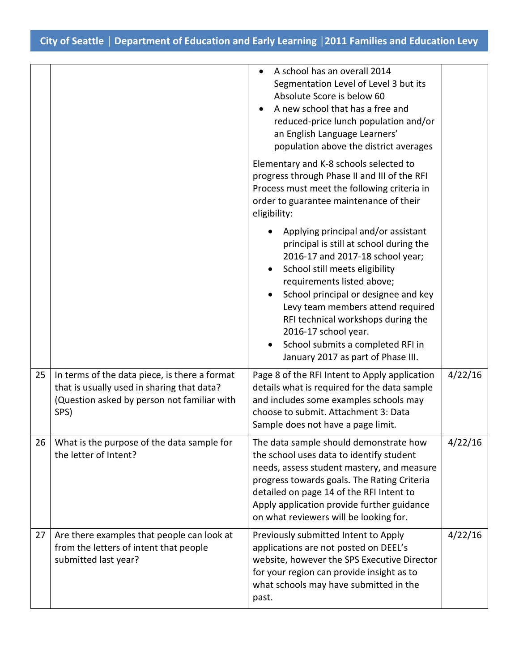|    |                                                                                                                                                    | A school has an overall 2014<br>Segmentation Level of Level 3 but its<br>Absolute Score is below 60<br>A new school that has a free and<br>reduced-price lunch population and/or<br>an English Language Learners'<br>population above the district averages                                                                                                                                              |         |
|----|----------------------------------------------------------------------------------------------------------------------------------------------------|----------------------------------------------------------------------------------------------------------------------------------------------------------------------------------------------------------------------------------------------------------------------------------------------------------------------------------------------------------------------------------------------------------|---------|
|    |                                                                                                                                                    | Elementary and K-8 schools selected to<br>progress through Phase II and III of the RFI<br>Process must meet the following criteria in<br>order to guarantee maintenance of their<br>eligibility:                                                                                                                                                                                                         |         |
|    |                                                                                                                                                    | Applying principal and/or assistant<br>principal is still at school during the<br>2016-17 and 2017-18 school year;<br>School still meets eligibility<br>requirements listed above;<br>School principal or designee and key<br>Levy team members attend required<br>RFI technical workshops during the<br>2016-17 school year.<br>School submits a completed RFI in<br>January 2017 as part of Phase III. |         |
| 25 | In terms of the data piece, is there a format<br>that is usually used in sharing that data?<br>(Question asked by person not familiar with<br>SPS) | Page 8 of the RFI Intent to Apply application<br>details what is required for the data sample<br>and includes some examples schools may<br>choose to submit. Attachment 3: Data<br>Sample does not have a page limit.                                                                                                                                                                                    | 4/22/16 |
| 26 | What is the purpose of the data sample for<br>the letter of Intent?                                                                                | The data sample should demonstrate how<br>the school uses data to identify student<br>needs, assess student mastery, and measure<br>progress towards goals. The Rating Criteria<br>detailed on page 14 of the RFI Intent to<br>Apply application provide further guidance<br>on what reviewers will be looking for.                                                                                      | 4/22/16 |
| 27 | Are there examples that people can look at<br>from the letters of intent that people<br>submitted last year?                                       | Previously submitted Intent to Apply<br>applications are not posted on DEEL's<br>website, however the SPS Executive Director<br>for your region can provide insight as to<br>what schools may have submitted in the<br>past.                                                                                                                                                                             | 4/22/16 |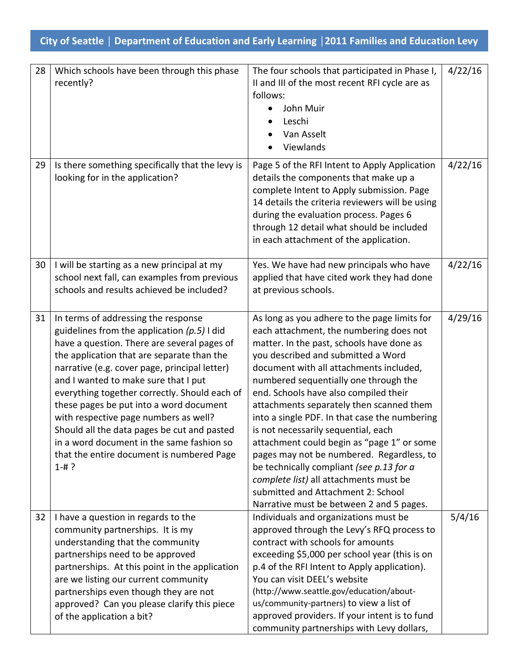| 28 | Which schools have been through this phase<br>recently?                                                                                                                                                                                                                                                                                                                                                                                                                                                                                                               | The four schools that participated in Phase I,<br>II and III of the most recent RFI cycle are as<br>follows:<br>John Muir<br>Leschi<br>Van Asselt<br>Viewlands                                                                                                                                                                                                                                                                                                                                                                                                                                                                                                                                                 | 4/22/16 |
|----|-----------------------------------------------------------------------------------------------------------------------------------------------------------------------------------------------------------------------------------------------------------------------------------------------------------------------------------------------------------------------------------------------------------------------------------------------------------------------------------------------------------------------------------------------------------------------|----------------------------------------------------------------------------------------------------------------------------------------------------------------------------------------------------------------------------------------------------------------------------------------------------------------------------------------------------------------------------------------------------------------------------------------------------------------------------------------------------------------------------------------------------------------------------------------------------------------------------------------------------------------------------------------------------------------|---------|
| 29 | Is there something specifically that the levy is<br>looking for in the application?                                                                                                                                                                                                                                                                                                                                                                                                                                                                                   | Page 5 of the RFI Intent to Apply Application<br>details the components that make up a<br>complete Intent to Apply submission. Page<br>14 details the criteria reviewers will be using<br>during the evaluation process. Pages 6<br>through 12 detail what should be included<br>in each attachment of the application.                                                                                                                                                                                                                                                                                                                                                                                        | 4/22/16 |
| 30 | I will be starting as a new principal at my<br>school next fall, can examples from previous<br>schools and results achieved be included?                                                                                                                                                                                                                                                                                                                                                                                                                              | Yes. We have had new principals who have<br>applied that have cited work they had done<br>at previous schools.                                                                                                                                                                                                                                                                                                                                                                                                                                                                                                                                                                                                 | 4/22/16 |
| 31 | In terms of addressing the response<br>guidelines from the application $(p.5)$ I did<br>have a question. There are several pages of<br>the application that are separate than the<br>narrative (e.g. cover page, principal letter)<br>and I wanted to make sure that I put<br>everything together correctly. Should each of<br>these pages be put into a word document<br>with respective page numbers as well?<br>Should all the data pages be cut and pasted<br>in a word document in the same fashion so<br>that the entire document is numbered Page<br>$1 - # ?$ | As long as you adhere to the page limits for<br>each attachment, the numbering does not<br>matter. In the past, schools have done as<br>you described and submitted a Word<br>document with all attachments included,<br>numbered sequentially one through the<br>end. Schools have also compiled their<br>attachments separately then scanned them<br>into a single PDF. In that case the numbering<br>is not necessarily sequential, each<br>attachment could begin as "page 1" or some<br>pages may not be numbered. Regardless, to<br>be technically compliant (see p.13 for a<br>complete list) all attachments must be<br>submitted and Attachment 2: School<br>Narrative must be between 2 and 5 pages. | 4/29/16 |
| 32 | I have a question in regards to the<br>community partnerships. It is my<br>understanding that the community<br>partnerships need to be approved<br>partnerships. At this point in the application<br>are we listing our current community<br>partnerships even though they are not<br>approved? Can you please clarify this piece<br>of the application a bit?                                                                                                                                                                                                        | Individuals and organizations must be<br>approved through the Levy's RFQ process to<br>contract with schools for amounts<br>exceeding \$5,000 per school year (this is on<br>p.4 of the RFI Intent to Apply application).<br>You can visit DEEL's website<br>(http://www.seattle.gov/education/about-<br>us/community-partners) to view a list of<br>approved providers. If your intent is to fund<br>community partnerships with Levy dollars,                                                                                                                                                                                                                                                                | 5/4/16  |